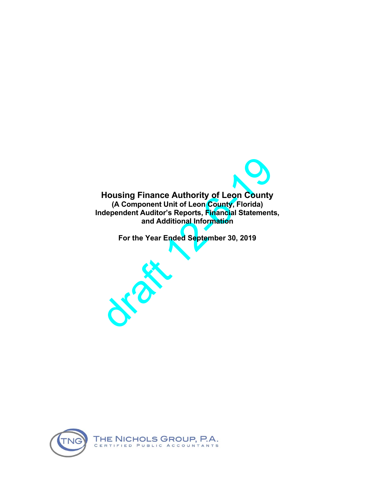Housing Finance Authority of Leon County<br>
(A Component Unit of Leon County, Florida)<br>
Independent Auditor's Reports, Financial Statements<br>
and Additional Information<br>
For the Year Ended September 30, 2019<br>
September 30, 20 **Housing Finance Authority of Leon County (A Component Unit of Leon County, Florida) Independent Auditor's Reports, Financial Statements, and Additional Information** 

**For the Year Ended September 30, 2019** 

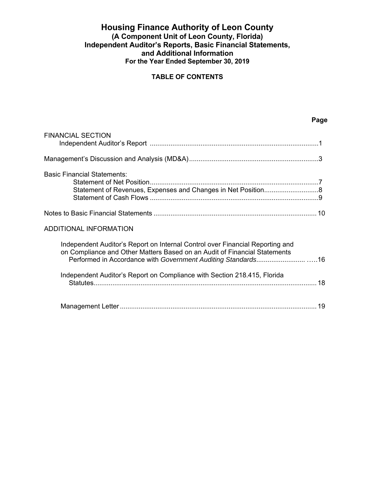# **Housing Finance Authority of Leon County (A Component Unit of Leon County, Florida) Independent Auditor's Reports, Basic Financial Statements, and Additional Information For the Year Ended September 30, 2019**

# **TABLE OF CONTENTS**

**Page** 

| <b>FINANCIAL SECTION</b>                                                                                                                                   |  |
|------------------------------------------------------------------------------------------------------------------------------------------------------------|--|
|                                                                                                                                                            |  |
| <b>Basic Financial Statements:</b>                                                                                                                         |  |
|                                                                                                                                                            |  |
| <b>ADDITIONAL INFORMATION</b>                                                                                                                              |  |
| Independent Auditor's Report on Internal Control over Financial Reporting and<br>on Compliance and Other Matters Based on an Audit of Financial Statements |  |
| Independent Auditor's Report on Compliance with Section 218.415, Florida                                                                                   |  |
|                                                                                                                                                            |  |
|                                                                                                                                                            |  |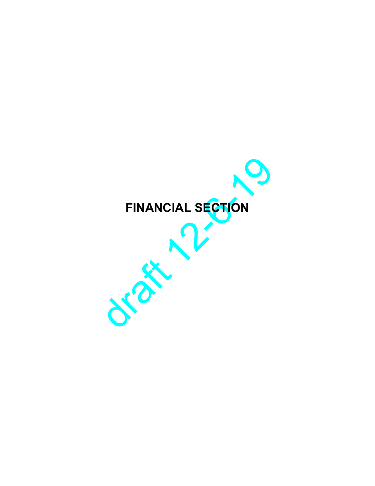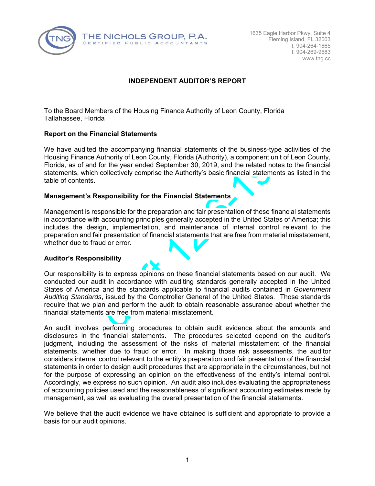

# **INDEPENDENT AUDITOR'S REPORT**

To the Board Members of the Housing Finance Authority of Leon County, Florida Tallahassee, Florida

### **Report on the Financial Statements**

We have audited the accompanying financial statements of the business-type activities of the Housing Finance Authority of Leon County, Florida (Authority), a component unit of Leon County, Florida, as of and for the year ended September 30, 2019, and the related notes to the financial statements, which collectively comprise the Authority's basic financial statements as listed in the table of contents.

### **Management's Responsibility for the Financial Statements**

Management is responsible for the preparation and fair presentation of these financial statements in accordance with accounting principles generally accepted in the United States of America; this includes the design, implementation, and maintenance of internal control relevant to the preparation and fair presentation of financial statements that are free from material misstatement, whether due to fraud or error.

### **Auditor's Responsibility**

Althority of Leon County, Florida (Authority), a component undfor the year ended September 30, 2019, and the related not collectively comprise the Authority's basic financial statements<br>
sponsibility for the Financial Stat Our responsibility is to express opinions on these financial statements based on our audit. We conducted our audit in accordance with auditing standards generally accepted in the United States of America and the standards applicable to financial audits contained in *Government Auditing Standards*, issued by the Comptroller General of the United States. Those standards require that we plan and perform the audit to obtain reasonable assurance about whether the financial statements are free from material misstatement.

An audit involves performing procedures to obtain audit evidence about the amounts and disclosures in the financial statements. The procedures selected depend on the auditor's judgment, including the assessment of the risks of material misstatement of the financial statements, whether due to fraud or error. In making those risk assessments, the auditor considers internal control relevant to the entity's preparation and fair presentation of the financial statements in order to design audit procedures that are appropriate in the circumstances, but not for the purpose of expressing an opinion on the effectiveness of the entity's internal control. Accordingly, we express no such opinion. An audit also includes evaluating the appropriateness of accounting policies used and the reasonableness of significant accounting estimates made by management, as well as evaluating the overall presentation of the financial statements.

We believe that the audit evidence we have obtained is sufficient and appropriate to provide a basis for our audit opinions.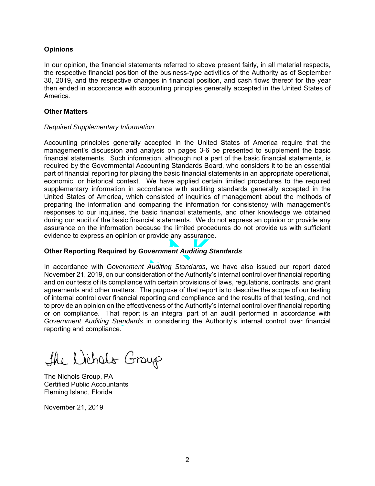## **Opinions**

In our opinion, the financial statements referred to above present fairly, in all material respects, the respective financial position of the business-type activities of the Authority as of September 30, 2019, and the respective changes in financial position, and cash flows thereof for the year then ended in accordance with accounting principles generally accepted in the United States of America.

## **Other Matters**

### *Required Supplementary Information*

Is. Such information, although not a part of the basic finar<br>wernmental Accounting Standards Board, who considers it<br>orbiting for placing the basic financial statements in an appro-<br>pricical context. We have applied certai Accounting principles generally accepted in the United States of America require that the management's discussion and analysis on pages 3-6 be presented to supplement the basic financial statements. Such information, although not a part of the basic financial statements, is required by the Governmental Accounting Standards Board, who considers it to be an essential part of financial reporting for placing the basic financial statements in an appropriate operational, economic, or historical context. We have applied certain limited procedures to the required supplementary information in accordance with auditing standards generally accepted in the United States of America, which consisted of inquiries of management about the methods of preparing the information and comparing the information for consistency with management's responses to our inquiries, the basic financial statements, and other knowledge we obtained during our audit of the basic financial statements. We do not express an opinion or provide any assurance on the information because the limited procedures do not provide us with sufficient evidence to express an opinion or provide any assurance.

## **Other Reporting Required by** *Government Auditing Standards*

In accordance with *Government Auditing Standards*, we have also issued our report dated November 21, 2019, on our consideration of the Authority's internal control over financial reporting and on our tests of its compliance with certain provisions of laws, regulations, contracts, and grant agreements and other matters. The purpose of that report is to describe the scope of our testing of internal control over financial reporting and compliance and the results of that testing, and not to provide an opinion on the effectiveness of the Authority's internal control over financial reporting or on compliance. That report is an integral part of an audit performed in accordance with *Government Auditing Standards* in considering the Authority's internal control over financial reporting and compliance.

the Wichels Group

The Nichols Group, PA Certified Public Accountants Fleming Island, Florida

November 21, 2019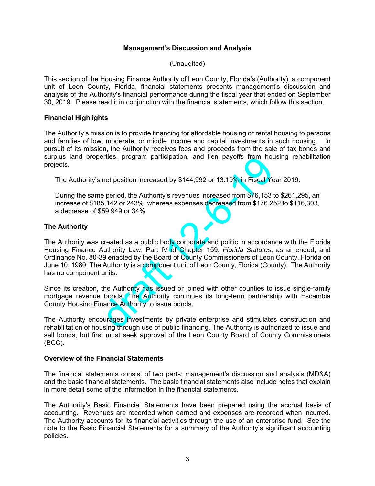## **Management's Discussion and Analysis**

(Unaudited)

This section of the Housing Finance Authority of Leon County, Florida's (Authority), a component unit of Leon County, Florida, financial statements presents management's discussion and analysis of the Authority's financial performance during the fiscal year that ended on September 30, 2019. Please read it in conjunction with the financial statements, which follow this section.

### **Financial Highlights**

The Authority's mission is to provide financing for affordable housing or rental housing to persons and families of low, moderate, or middle income and capital investments in such housing. In pursuit of its mission, the Authority receives fees and proceeds from the sale of tax bonds and surplus land properties, program participation, and lien payoffs from housing rehabilitation projects.

The Authority's net position increased by \$144,992 or 13.19% in Fiscal Year 2019.

During the same period, the Authority's revenues increased from \$76,153 to \$261,295, an increase of \$185,142 or 243%, whereas expenses decreased from \$176,252 to \$116,303, a decrease of \$59,949 or 34%.

### **The Authority**

erties, program participation, and lien payofts from hot<br>
in the position increased by \$144,992 or 13.19% in Fiscal Ye<br>
e period, the Authority's revenues increased from \$76,153<br>
15,142 or 243%, whereas expenses decreased The Authority was created as a public body corporate and politic in accordance with the Florida Housing Finance Authority Law, Part IV of Chapter 159, *Florida Statutes*, as amended, and Ordinance No. 80-39 enacted by the Board of County Commissioners of Leon County, Florida on June 10, 1980. The Authority is a component unit of Leon County, Florida (County). The Authority has no component units.

Since its creation, the Authority has issued or joined with other counties to issue single-family mortgage revenue bonds. The Authority continues its long-term partnership with Escambia County Housing Finance Authority to issue bonds.

The Authority encourages investments by private enterprise and stimulates construction and rehabilitation of housing through use of public financing. The Authority is authorized to issue and sell bonds, but first must seek approval of the Leon County Board of County Commissioners (BCC).

### **Overview of the Financial Statements**

The financial statements consist of two parts: management's discussion and analysis (MD&A) and the basic financial statements. The basic financial statements also include notes that explain in more detail some of the information in the financial statements.

The Authority's Basic Financial Statements have been prepared using the accrual basis of accounting. Revenues are recorded when earned and expenses are recorded when incurred. The Authority accounts for its financial activities through the use of an enterprise fund. See the note to the Basic Financial Statements for a summary of the Authority's significant accounting policies.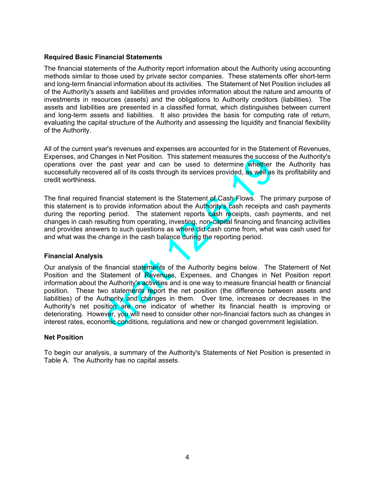## **Required Basic Financial Statements**

The financial statements of the Authority report information about the Authority using accounting methods similar to those used by private sector companies. These statements offer short-term and long-term financial information about its activities. The Statement of Net Position includes all of the Authority's assets and liabilities and provides information about the nature and amounts of investments in resources (assets) and the obligations to Authority creditors (liabilities). The assets and liabilities are presented in a classified format, which distinguishes between current and long-term assets and liabilities. It also provides the basis for computing rate of return, evaluating the capital structure of the Authority and assessing the liquidity and financial flexibility of the Authority.

All of the current year's revenues and expenses are accounted for in the Statement of Revenues, Expenses, and Changes in Net Position. This statement measures the success of the Authority's operations over the past year and can be used to determine whether the Authority has successfully recovered all of its costs through its services provided, as well as its profitability and credit worthiness.

The final required financial statement is the Statement of Cash Flows. The primary purpose of this statement is to provide information about the Authority's cash receipts and cash payments during the reporting period. The statement reports cash receipts, cash payments, and net changes in cash resulting from operating, investing, non-capital financing and financing activities and provides answers to such questions as where did cash come from, what was cash used for and what was the change in the cash balance during the reporting period.

### **Financial Analysis**

anges in Net Position. This statement measures the succes<br>the past year and can be used to determine whether<br>ered all of its costs through its services provided, as well as<br>financial statement is the Statement of Cash Flow Our analysis of the financial statements of the Authority begins below. The Statement of Net Position and the Statement of Revenues, Expenses, and Changes in Net Position report information about the Authority's activities and is one way to measure financial health or financial position. These two statements report the net position (the difference between assets and liabilities) of the Authority and changes in them. Over time, increases or decreases in the Authority's net position are one indicator of whether its financial health is improving or deteriorating. However, you will need to consider other non-financial factors such as changes in interest rates, economic conditions, regulations and new or changed government legislation.

### **Net Position**

To begin our analysis, a summary of the Authority's Statements of Net Position is presented in Table A. The Authority has no capital assets.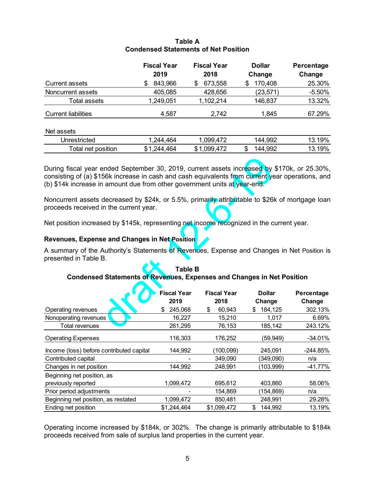### **Table A Condensed Statements of Net Position**

|                            | <b>Fiscal Year</b> | <b>Fiscal Year</b> | <b>Dollar</b> | Percentage |
|----------------------------|--------------------|--------------------|---------------|------------|
|                            | 2019               | 2018               | Change        | Change     |
| Current assets             | 843,966<br>\$      | 673,558<br>\$      | 170,408<br>\$ | 25.30%     |
| Noncurrent assets          | 405,085            | 428,656            | (23, 571)     | $-5.50%$   |
| Total assets               | 1,249,051          | 1,102,214          | 146,837       | 13.32%     |
| <b>Current liabilities</b> | 4,587              | 2,742              | 1,845         | 67.29%     |
| Net assets                 |                    |                    |               |            |
| Unrestricted               | 1,244,464          | 1,099,472          | 144,992       | 13.19%     |
| Total net position         | \$1,244,464        | \$1,099,472        | 144,992<br>\$ | 13.19%     |

## **Revenues, Expense and Changes in Net Position**

### **Table B Condensed Statements of Revenues, Expenses and Changes in Net Position**

| During fiscal year ended September 30, 2019, current assets increased by \$170k, or 25.30%,<br>consisting of (a) \$156k increase in cash and cash equivalents from current year operations, and<br>(b) \$14k increase in amount due from other government units at year-end. |                    |                    |               |            |
|------------------------------------------------------------------------------------------------------------------------------------------------------------------------------------------------------------------------------------------------------------------------------|--------------------|--------------------|---------------|------------|
| Noncurrent assets decreased by \$24k, or 5.5%, primarily attributable to \$26k of mortgage loan<br>proceeds received in the current year.                                                                                                                                    |                    |                    |               |            |
| Net position increased by \$145k, representing net income recognized in the current year.                                                                                                                                                                                    |                    |                    |               |            |
|                                                                                                                                                                                                                                                                              |                    |                    |               |            |
| Revenues, Expense and Changes in Net Position                                                                                                                                                                                                                                |                    |                    |               |            |
| A summary of the Authority's Statements of Revenues, Expense and Changes in Net Position is<br>presented in Table B.                                                                                                                                                         |                    |                    |               |            |
|                                                                                                                                                                                                                                                                              | <b>Table B</b>     |                    |               |            |
| <b>Condensed Statements of Revenues, Expenses and Changes in Net Position</b>                                                                                                                                                                                                |                    |                    |               |            |
|                                                                                                                                                                                                                                                                              |                    |                    |               |            |
|                                                                                                                                                                                                                                                                              | <b>Fiscal Year</b> | <b>Fiscal Year</b> | <b>Dollar</b> | Percentage |
|                                                                                                                                                                                                                                                                              | 2019               | 2018               | Change        | Change     |
| Operating revenues                                                                                                                                                                                                                                                           | 245,068<br>\$      | \$<br>60,943       | 184,125<br>\$ | 302.13%    |
| Nonoperating revenues                                                                                                                                                                                                                                                        | 16,227             | 15,210             | 1,017         | 6.69%      |
| Total revenues                                                                                                                                                                                                                                                               | 261,295            | 76,153             | 185,142       | 243.12%    |
| <b>Operating Expenses</b>                                                                                                                                                                                                                                                    | 116,303            | 176,252            | (59, 949)     | $-34.01%$  |
| Income (loss) before contributed capital                                                                                                                                                                                                                                     | 144,992            | (100, 099)         | 245,091       | $-244.85%$ |
| Contributed capital                                                                                                                                                                                                                                                          |                    | 349,090            | (349,090)     | n/a        |
| Changes in net position                                                                                                                                                                                                                                                      | 144,992            | 248,991            | (103, 999)    |            |
| Beginning net position, as                                                                                                                                                                                                                                                   |                    |                    |               | $-41.77%$  |
|                                                                                                                                                                                                                                                                              |                    |                    |               |            |
|                                                                                                                                                                                                                                                                              | 1,099,472          | 695,612            | 403,860       | 58.06%     |
| previously reported                                                                                                                                                                                                                                                          |                    | 154,869            | (154, 869)    | n/a        |
| Prior period adjustments<br>Beginning net position, as restated                                                                                                                                                                                                              | 1,099,472          | 850,481            | 248,991       | 29.28%     |

Operating income increased by \$184k, or 302%. The change is primarily attributable to \$184k proceeds received from sale of surplus land properties in the current year.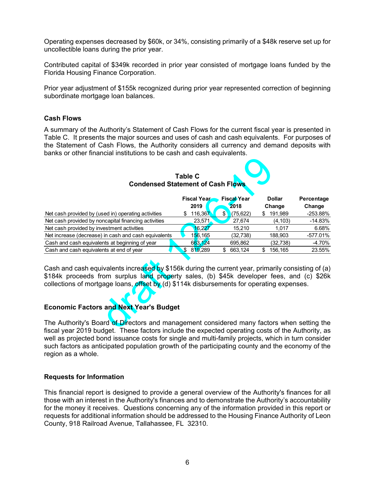Operating expenses decreased by \$60k, or 34%, consisting primarily of a \$48k reserve set up for uncollectible loans during the prior year.

Contributed capital of \$349k recorded in prior year consisted of mortgage loans funded by the Florida Housing Finance Corporation.

Prior year adjustment of \$155k recognized during prior year represented correction of beginning subordinate mortgage loan balances.

## **Cash Flows**

A summary of the Authority's Statement of Cash Flows for the current fiscal year is presented in Table C. It presents the major sources and uses of cash and cash equivalents. For purposes of the Statement of Cash Flows, the Authority considers all currency and demand deposits with banks or other financial institutions to be cash and cash equivalents.

| <b>Table C</b><br><b>Condensed Statement of Cash Flows</b>                                                                                                                                                                                                                                   |    |                        |    |             |    |               |            |
|----------------------------------------------------------------------------------------------------------------------------------------------------------------------------------------------------------------------------------------------------------------------------------------------|----|------------------------|----|-------------|----|---------------|------------|
|                                                                                                                                                                                                                                                                                              |    | Fiscal Year            |    | Fiscal Year |    | <b>Dollar</b> | Percentage |
|                                                                                                                                                                                                                                                                                              |    | 2019                   |    | 2018        |    | Change        | Change     |
| Net cash provided by (used in) operating activities                                                                                                                                                                                                                                          |    | 116,367                |    | (75, 622)   | \$ | 191,989       | $-253.88%$ |
| Net cash provided by noncapital financing activities                                                                                                                                                                                                                                         |    | 23,571                 |    | 27,674      |    | (4, 103)      | -14.83%    |
| Net cash provided by investment activities                                                                                                                                                                                                                                                   |    | 16,227                 |    | 15,210      |    | 1,017         | 6.68%      |
| Net increase (decrease) in cash and cash equivalents                                                                                                                                                                                                                                         |    | 1 <mark>56</mark> ,165 |    | (32, 738)   |    | 188,903       | -577.01%   |
| Cash and cash equivalents at beginning of year                                                                                                                                                                                                                                               |    | 6 <mark>63,12</mark> 4 |    | 695,862     |    | (32,738)      | -4.70%     |
| Cash and cash equivalents at end of year                                                                                                                                                                                                                                                     | \$ | 819,289                | \$ | 663,124     | \$ | 156,165       | 23.55%     |
| Cash and cash equivalents increased by \$156k during the current year, primarily consisting of (a)<br>\$184k proceeds from surplus land property sales, (b) \$45k developer fees, and (c) \$26k<br>collections of mortgage loans, offset by (d) \$114k disbursements for operating expenses. |    |                        |    |             |    |               |            |
| <b>Economic Factors and Next Year's Budget</b>                                                                                                                                                                                                                                               |    |                        |    |             |    |               |            |
| The Authority's Board of Directors and management considered many factors when setting the<br>figged veget 2010 budget. These fectors include the expected eperating easte of the Authority as                                                                                               |    |                        |    |             |    |               |            |

## **Economic Factors and Next Year's Budget**

The Authority's Board of Directors and management considered many factors when setting the fiscal year 2019 budget. These factors include the expected operating costs of the Authority, as well as projected bond issuance costs for single and multi-family projects, which in turn consider such factors as anticipated population growth of the participating county and the economy of the region as a whole.

## **Requests for Information**

This financial report is designed to provide a general overview of the Authority's finances for all those with an interest in the Authority's finances and to demonstrate the Authority's accountability for the money it receives. Questions concerning any of the information provided in this report or requests for additional information should be addressed to the Housing Finance Authority of Leon County, 918 Railroad Avenue, Tallahassee, FL 32310.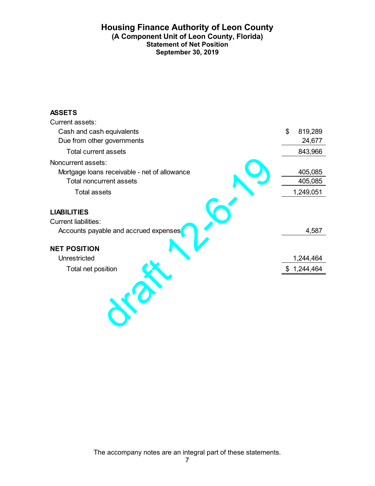# **Housing Finance Authority of Leon County (A Component Unit of Leon County, Florida) Statement of Net Position September 30, 2019**

| <b>ASSETS</b>                                     |     |           |
|---------------------------------------------------|-----|-----------|
| Current assets:                                   |     |           |
| Cash and cash equivalents                         | \$  | 819,289   |
| Due from other governments                        |     | 24,677    |
| <b>Total current assets</b>                       |     | 843,966   |
| Noncurrent assets:                                |     |           |
| Mortgage loans receivable - net of allowance      |     | 405,085   |
| <b>Total noncurrent assets</b>                    |     | 405,085   |
| <b>Total assets</b>                               |     | 1,249,051 |
| <b>LIABILITIES</b><br><b>Current liabilities:</b> |     |           |
| Accounts payable and accrued expenses             |     | 4,587     |
| <b>NET POSITION</b>                               |     |           |
| Unrestricted                                      |     | 1,244,464 |
| Total net position                                | \$. | 1,244,464 |
|                                                   |     |           |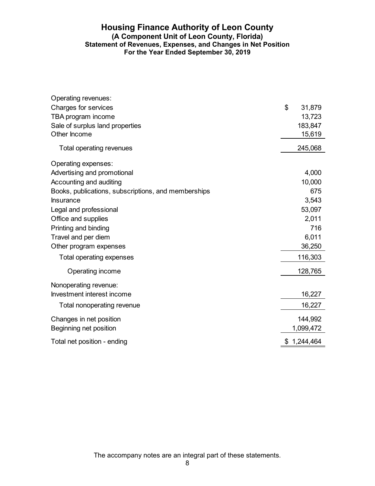# **Housing Finance Authority of Leon County (A Component Unit of Leon County, Florida) Statement of Revenues, Expenses, and Changes in Net Position For the Year Ended September 30, 2019**

| Operating revenues:                                 |                 |
|-----------------------------------------------------|-----------------|
| Charges for services                                | \$<br>31,879    |
| TBA program income                                  | 13,723          |
| Sale of surplus land properties                     | 183,847         |
| Other Income                                        | 15,619          |
| Total operating revenues                            | 245,068         |
| Operating expenses:                                 |                 |
| Advertising and promotional                         | 4,000           |
| Accounting and auditing                             | 10,000          |
| Books, publications, subscriptions, and memberships | 675             |
| <b>Insurance</b>                                    | 3,543           |
| Legal and professional                              | 53,097          |
| Office and supplies                                 | 2,011           |
| Printing and binding                                | 716             |
| Travel and per diem                                 | 6,011           |
| Other program expenses                              | 36,250          |
| Total operating expenses                            | 116,303         |
| Operating income                                    | 128,765         |
| Nonoperating revenue:                               |                 |
| Investment interest income                          | 16,227          |
| Total nonoperating revenue                          | 16,227          |
| Changes in net position                             | 144,992         |
| Beginning net position                              | 1,099,472       |
| Total net position - ending                         | \$<br>1,244,464 |

The accompany notes are an integral part of these statements.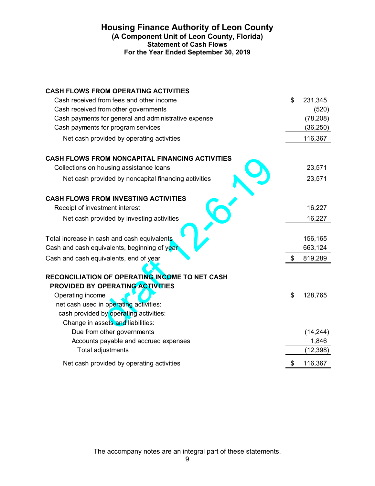# **Housing Finance Authority of Leon County (A Component Unit of Leon County, Florida) Statement of Cash Flows For the Year Ended September 30, 2019**

| <b>CASH FLOWS FROM OPERATING ACTIVITIES</b>            |               |
|--------------------------------------------------------|---------------|
| Cash received from fees and other income               | \$<br>231,345 |
| Cash received from other governments                   | (520)         |
| Cash payments for general and administrative expense   | (78, 208)     |
| Cash payments for program services                     | (36, 250)     |
| Net cash provided by operating activities              | 116,367       |
| <b>CASH FLOWS FROM NONCAPITAL FINANCING ACTIVITIES</b> |               |
| Collections on housing assistance loans                | 23,571        |
| Net cash provided by noncapital financing activities   | 23,571        |
| <b>CASH FLOWS FROM INVESTING ACTIVITIES</b>            |               |
| Receipt of investment interest                         | 16,227        |
| Net cash provided by investing activities              | 16,227        |
| Total increase in cash and cash equivalents            | 156,165       |
| Cash and cash equivalents, beginning of year           | 663,124       |
|                                                        | \$<br>819,289 |
| Cash and cash equivalents, end of year                 |               |
| <b>RECONCILIATION OF OPERATING INCOME TO NET CASH</b>  |               |
| <b>PROVIDED BY OPERATING ACTIVITIES</b>                |               |
| Operating income                                       | \$<br>128,765 |
| net cash used in operating activities:                 |               |
| cash provided by operating activities:                 |               |
| Change in assets and liabilities:                      |               |
| Due from other governments                             | (14, 244)     |
| Accounts payable and accrued expenses                  | 1,846         |
| Total adjustments                                      | (12, 398)     |
| Net cash provided by operating activities              | \$<br>116,367 |

The accompany notes are an integral part of these statements.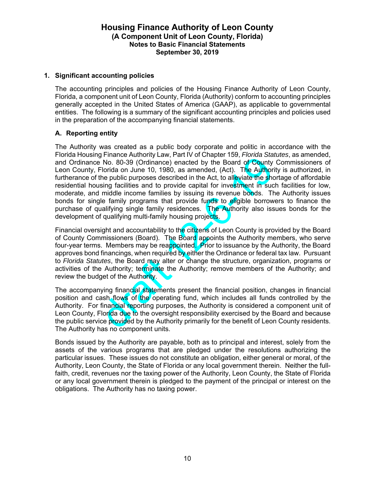# **1. Significant accounting policies**

The accounting principles and policies of the Housing Finance Authority of Leon County, Florida, a component unit of Leon County, Florida (Authority) conform to accounting principles generally accepted in the United States of America (GAAP), as applicable to governmental entities. The following is a summary of the significant accounting principles and policies used in the preparation of the accompanying financial statements.

# **A. Reporting entity**

*y* in ancie Automy Law, r and the Authority Law of Country Carry of the Board of County in the Author<br>Florida on June 10, 1980, as amended, (Act). The Author<br>Florida on June 10, 1980, as amended, (Act). The Author<br>the pub The Authority was created as a public body corporate and politic in accordance with the Florida Housing Finance Authority Law, Part IV of Chapter 159, *Florida Statutes*, as amended, and Ordinance No. 80-39 (Ordinance) enacted by the Board of County Commissioners of Leon County, Florida on June 10, 1980, as amended, (Act). The Authority is authorized, in furtherance of the public purposes described in the Act, to alleviate the shortage of affordable residential housing facilities and to provide capital for investment in such facilities for low, moderate, and middle income families by issuing its revenue bonds. The Authority issues bonds for single family programs that provide funds to eligible borrowers to finance the purchase of qualifying single family residences. The Authority also issues bonds for the development of qualifying multi-family housing projects.

Financial oversight and accountability to the citizens of Leon County is provided by the Board of County Commissioners (Board). The Board appoints the Authority members, who serve four-year terms. Members may be reappointed. Prior to issuance by the Authority, the Board approves bond financings, when required by either the Ordinance or federal tax law. Pursuant to *Florida Statutes*, the Board may alter or change the structure, organization, programs or activities of the Authority; terminate the Authority; remove members of the Authority; and review the budget of the Authority.

The accompanying financial statements present the financial position, changes in financial position and cash flows of the operating fund, which includes all funds controlled by the Authority. For financial reporting purposes, the Authority is considered a component unit of Leon County, Florida due to the oversight responsibility exercised by the Board and because the public service provided by the Authority primarily for the benefit of Leon County residents. The Authority has no component units.

Bonds issued by the Authority are payable, both as to principal and interest, solely from the assets of the various programs that are pledged under the resolutions authorizing the particular issues. These issues do not constitute an obligation, either general or moral, of the Authority, Leon County, the State of Florida or any local government therein. Neither the fullfaith, credit, revenues nor the taxing power of the Authority, Leon County, the State of Florida or any local government therein is pledged to the payment of the principal or interest on the obligations. The Authority has no taxing power.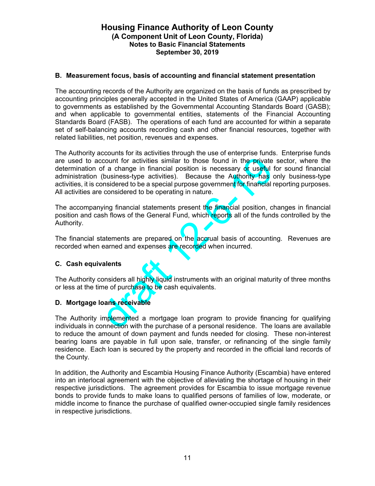## **B. Measurement focus, basis of accounting and financial statement presentation**

The accounting records of the Authority are organized on the basis of funds as prescribed by accounting principles generally accepted in the United States of America (GAAP) applicable to governments as established by the Governmental Accounting Standards Board (GASB); and when applicable to governmental entities, statements of the Financial Accounting Standards Board (FASB). The operations of each fund are accounted for within a separate set of self-balancing accounts recording cash and other financial resources, together with related liabilities, net position, revenues and expenses.

cocount for activities similar to those found in the private<br>of a change in financial position is necessary or useful (business-type activities). Because the Authority has<br>onsidered to be a special purpose government for f The Authority accounts for its activities through the use of enterprise funds. Enterprise funds are used to account for activities similar to those found in the private sector, where the determination of a change in financial position is necessary or useful for sound financial administration (business-type activities). Because the Authority has only business-type activities, it is considered to be a special purpose government for financial reporting purposes. All activities are considered to be operating in nature.

The accompanying financial statements present the financial position, changes in financial position and cash flows of the General Fund, which reports all of the funds controlled by the Authority.

The financial statements are prepared on the accrual basis of accounting. Revenues are recorded when earned and expenses are recorded when incurred.

## **C. Cash equivalents**

The Authority considers all highly liquid instruments with an original maturity of three months or less at the time of purchase to be cash equivalents.

# **D. Mortgage loans receivable**

The Authority implemented a mortgage loan program to provide financing for qualifying individuals in connection with the purchase of a personal residence. The loans are available to reduce the amount of down payment and funds needed for closing. These non-interest bearing loans are payable in full upon sale, transfer, or refinancing of the single family residence. Each loan is secured by the property and recorded in the official land records of the County.

In addition, the Authority and Escambia Housing Finance Authority (Escambia) have entered into an interlocal agreement with the objective of alleviating the shortage of housing in their respective jurisdictions. The agreement provides for Escambia to issue mortgage revenue bonds to provide funds to make loans to qualified persons of families of low, moderate, or middle income to finance the purchase of qualified owner-occupied single family residences in respective jurisdictions.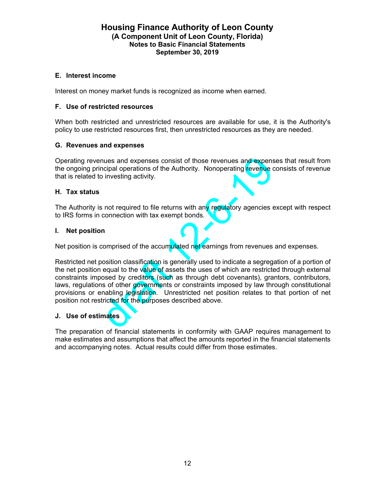## **E. Interest income**

Interest on money market funds is recognized as income when earned.

# **F. Use of restricted resources**

When both restricted and unrestricted resources are available for use, it is the Authority's policy to use restricted resources first, then unrestricted resources as they are needed.

### **G. Revenues and expenses**

Operating revenues and expenses consist of those revenues and expenses that result from the ongoing principal operations of the Authority. Nonoperating revenue consists of revenue that is related to investing activity.

## **H. Tax status**

The Authority is not required to file returns with any regulatory agencies except with respect to IRS forms in connection with tax exempt bonds.

### **I. Net position**

Net position is comprised of the accumulated net earnings from revenues and expenses.

mues and expenses consist of those revenues and expension<br>incipal operations of the Authority. Nonoperating revenue<br>o investing activity.<br>So investing activity.<br>So investing activity.<br>So investing activity.<br>So interesting Restricted net position classification is generally used to indicate a segregation of a portion of the net position equal to the value of assets the uses of which are restricted through external constraints imposed by creditors (such as through debt covenants), grantors, contributors, laws, regulations of other governments or constraints imposed by law through constitutional provisions or enabling legislation. Unrestricted net position relates to that portion of net position not restricted for the purposes described above.

## **J. Use of estimates**

The preparation of financial statements in conformity with GAAP requires management to make estimates and assumptions that affect the amounts reported in the financial statements and accompanying notes. Actual results could differ from those estimates.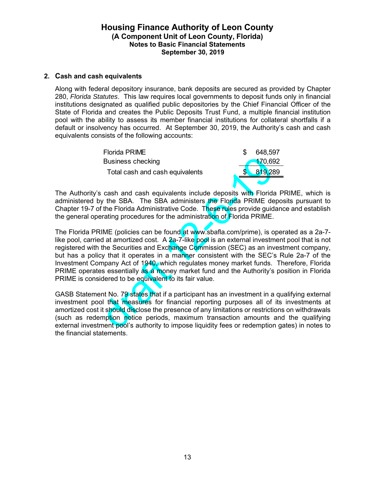## **2. Cash and cash equivalents**

Along with federal depository insurance, bank deposits are secured as provided by Chapter 280, *Florida Statutes*. This law requires local governments to deposit funds only in financial institutions designated as qualified public depositories by the Chief Financial Officer of the State of Florida and creates the Public Deposits Trust Fund, a multiple financial institution pool with the ability to assess its member financial institutions for collateral shortfalls if a default or insolvency has occurred. At September 30, 2019, the Authority's cash and cash equivalents consists of the following accounts:

| <b>Florida PRIME</b>            | 648,597        |  |
|---------------------------------|----------------|--|
| <b>Business checking</b>        | <b>170,692</b> |  |
| Total cash and cash equivalents | 819,289        |  |
|                                 |                |  |

The Authority's cash and cash equivalents include deposits with Florida PRIME, which is administered by the SBA. The SBA administers the Florida PRIME deposits pursuant to Chapter 19-7 of the Florida Administrative Code. These rules provide guidance and establish the general operating procedures for the administration of Florida PRIME.

Business checking<br>
Total cash and cash equivalents<br>
secash and cash equivalents<br>
secash and cash equivalents include deposits with Florida<br>
the SDA. The SBA administrative Code. These rules provide guid<br>
fite Florida Admin The Florida PRIME (policies can be found at www.sbafla.com/prime), is operated as a 2a-7like pool, carried at amortized cost. A 2a-7-like pool is an external investment pool that is not registered with the Securities and Exchange Commission (SEC) as an investment company, but has a policy that it operates in a manner consistent with the SEC's Rule 2a-7 of the Investment Company Act of 1940, which regulates money market funds. Therefore, Florida PRIME operates essentially as a money market fund and the Authority's position in Florida PRIME is considered to be equivalent to its fair value.

GASB Statement No. 79 states that if a participant has an investment in a qualifying external investment pool that measures for financial reporting purposes all of its investments at amortized cost it should disclose the presence of any limitations or restrictions on withdrawals (such as redemption notice periods, maximum transaction amounts and the qualifying external investment pool's authority to impose liquidity fees or redemption gates) in notes to the financial statements.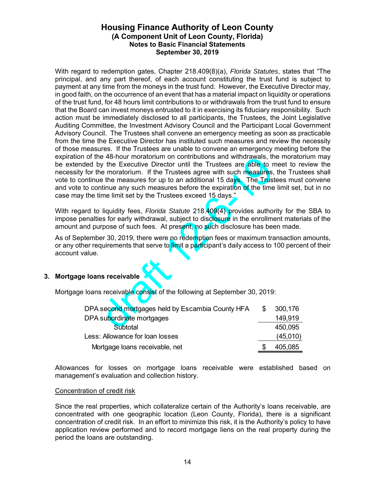e 48-hour moratorium on contributions and withdrawals, the Executive Director until the Trustees are able to reflect the measures for up to an additional 15 days. The Trustees the measures for up to an additional 15 days. With regard to redemption gates, Chapter 218.409(8)(a), *Florida Statutes*, states that "The principal, and any part thereof, of each account constituting the trust fund is subject to payment at any time from the moneys in the trust fund. However, the Executive Director may, in good faith, on the occurrence of an event that has a material impact on liquidity or operations of the trust fund, for 48 hours limit contributions to or withdrawals from the trust fund to ensure that the Board can invest moneys entrusted to it in exercising its fiduciary responsibility. Such action must be immediately disclosed to all participants, the Trustees, the Joint Legislative Auditing Committee, the Investment Advisory Council and the Participant Local Government Advisory Council. The Trustees shall convene an emergency meeting as soon as practicable from the time the Executive Director has instituted such measures and review the necessity of those measures. If the Trustees are unable to convene an emergency meeting before the expiration of the 48-hour moratorium on contributions and withdrawals, the moratorium may be extended by the Executive Director until the Trustees are able to meet to review the necessity for the moratorium. If the Trustees agree with such measures, the Trustees shall vote to continue the measures for up to an additional 15 days. The Trustees must convene and vote to continue any such measures before the expiration of the time limit set, but in no case may the time limit set by the Trustees exceed 15 days."

With regard to liquidity fees, *Florida Statute* 218.409(4) provides authority for the SBA to impose penalties for early withdrawal, subject to disclosure in the enrollment materials of the amount and purpose of such fees. At present, no such disclosure has been made.

As of September 30, 2019, there were no redemption fees or maximum transaction amounts, or any other requirements that serve to limit a participant's daily access to 100 percent of their account value.

## **3. Mortgage loans receivable**

Mortgage loans receivable consist of the following at September 30, 2019:

| DPA second mortgages held by Escambia County HFA | $\mathbb{S}$ | 300,176  |
|--------------------------------------------------|--------------|----------|
| DPA subordinate mortgages                        |              | 149,919  |
| Subtotal                                         |              | 450,095  |
| Less: Allowance for loan losses                  |              | (45,010) |
| Mortgage loans receivable, net                   |              | 405,085  |

Allowances for losses on mortgage loans receivable were established based on management's evaluation and collection history.

### Concentration of credit risk

Since the real properties, which collateralize certain of the Authority's loans receivable, are concentrated with one geographic location (Leon County, Florida), there is a significant concentration of credit risk. In an effort to minimize this risk, it is the Authority's policy to have application review performed and to record mortgage liens on the real property during the period the loans are outstanding.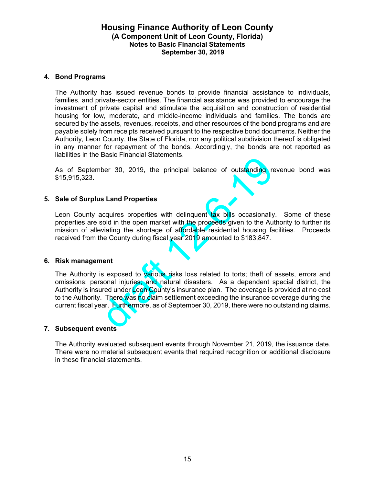### **4. Bond Programs**

The Authority has issued revenue bonds to provide financial assistance to individuals, families, and private-sector entities. The financial assistance was provided to encourage the investment of private capital and stimulate the acquisition and construction of residential housing for low, moderate, and middle-income individuals and families. The bonds are secured by the assets, revenues, receipts, and other resources of the bond programs and are payable solely from receipts received pursuant to the respective bond documents. Neither the Authority, Leon County, the State of Florida, nor any political subdivision thereof is obligated in any manner for repayment of the bonds. Accordingly, the bonds are not reported as liabilities in the Basic Financial Statements.

As of September 30, 2019, the principal balance of outstanding revenue bond was \$15,915,323.

## **5. Sale of Surplus Land Properties**

Leon County acquires properties with delinguent tax bills occasionally. Some of these properties are sold in the open market with the proceeds given to the Authority to further its mission of alleviating the shortage of affordable residential housing facilities. Proceeds received from the County during fiscal year 2019 amounted to \$183,847.

### **6. Risk management**

basic Financial Statements.<br>
Stand Properties<br>
acquires properties with delinquent tax bills occasionally<br>
sold in the open market with the proceeds given to the Au<br>
viating the shortage of affordable residential housing f The Authority is exposed to various risks loss related to torts; theft of assets, errors and omissions; personal injuries; and natural disasters. As a dependent special district, the Authority is insured under Leon County's insurance plan. The coverage is provided at no cost to the Authority. There was no claim settlement exceeding the insurance coverage during the current fiscal year. Furthermore, as of September 30, 2019, there were no outstanding claims.

### **7. Subsequent events**

The Authority evaluated subsequent events through November 21, 2019, the issuance date. There were no material subsequent events that required recognition or additional disclosure in these financial statements.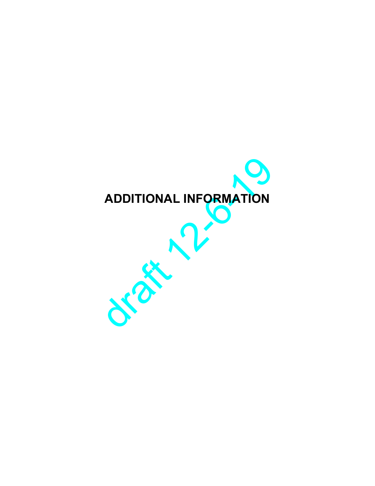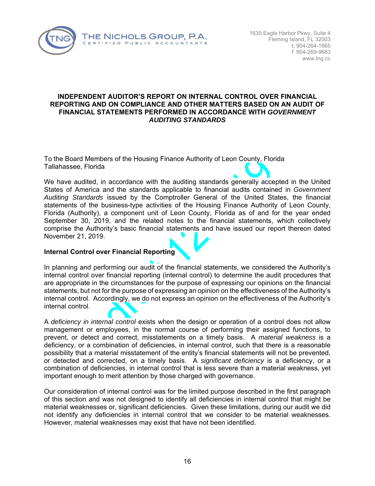

## **INDEPENDENT AUDITOR'S REPORT ON INTERNAL CONTROL OVER FINANCIAL REPORTING AND ON COMPLIANCE AND OTHER MATTERS BASED ON AN AUDIT OF FINANCIAL STATEMENTS PERFORMED IN ACCORDANCE WITH** *GOVERNMENT AUDITING STANDARDS*

To the Board Members of the Housing Finance Authority of Leon County, Florida Tallahassee, Florida

bers of the Housing Finance Authority of Leon County, Flom<br>
and<br>
in accordance with the auditing standards generally acce<br>
and the standards applicable to financial audits contain<br>
ls issued by the Comptroller General of t We have audited, in accordance with the auditing standards generally accepted in the United States of America and the standards applicable to financial audits contained in *Government Auditing Standards* issued by the Comptroller General of the United States, the financial statements of the business-type activities of the Housing Finance Authority of Leon County, Florida (Authority), a component unit of Leon County, Florida as of and for the year ended September 30, 2019, and the related notes to the financial statements, which collectively comprise the Authority's basic financial statements and have issued our report thereon dated November 21, 2019.

## **Internal Control over Financial Reporting**

In planning and performing our audit of the financial statements, we considered the Authority's internal control over financial reporting (internal control) to determine the audit procedures that are appropriate in the circumstances for the purpose of expressing our opinions on the financial statements, but not for the purpose of expressing an opinion on the effectiveness of the Authority's internal control. Accordingly, we do not express an opinion on the effectiveness of the Authority's internal control.

A *deficiency in internal control* exists when the design or operation of a control does not allow management or employees, in the normal course of performing their assigned functions, to prevent, or detect and correct, misstatements on a timely basis. A *material weakness* is a deficiency, or a combination of deficiencies, in internal control, such that there is a reasonable possibility that a material misstatement of the entity's financial statements will not be prevented, or detected and corrected, on a timely basis. A *significant deficiency* is a deficiency, or a combination of deficiencies, in internal control that is less severe than a material weakness, yet important enough to merit attention by those charged with governance.

Our consideration of internal control was for the limited purpose described in the first paragraph of this section and was not designed to identify all deficiencies in internal control that might be material weaknesses or, significant deficiencies. Given these limitations, during our audit we did not identify any deficiencies in internal control that we consider to be material weaknesses. However, material weaknesses may exist that have not been identified.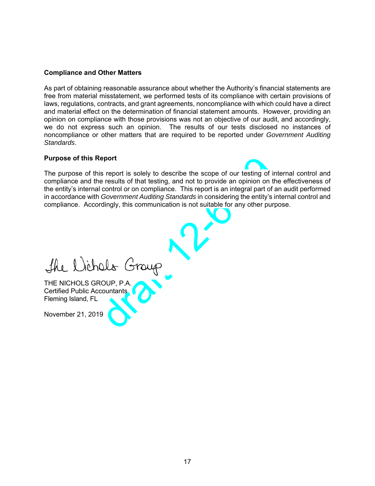## **Compliance and Other Matters**

As part of obtaining reasonable assurance about whether the Authority's financial statements are free from material misstatement, we performed tests of its compliance with certain provisions of laws, regulations, contracts, and grant agreements, noncompliance with which could have a direct and material effect on the determination of financial statement amounts. However, providing an opinion on compliance with those provisions was not an objective of our audit, and accordingly, we do not express such an opinion. The results of our tests disclosed no instances of noncompliance or other matters that are required to be reported under *Government Auditing Standards*.

### **Purpose of this Report**

report<br>
is report is solely to describe the scope of our testing of i<br>
e results of that testing, and not to provide an opinion on t<br>
control or on compliance. This report is an integral part of<br>
Government Auditing Standa The purpose of this report is solely to describe the scope of our testing of internal control and compliance and the results of that testing, and not to provide an opinion on the effectiveness of the entity's internal control or on compliance. This report is an integral part of an audit performed in accordance with *Government Auditing Standards* in considering the entity's internal control and compliance. Accordingly, this communication is not suitable for any other purpose.

THE NICHOLS GROUP, P.A. Certified Public Accountants Fleming Island, FL

November 21, 2019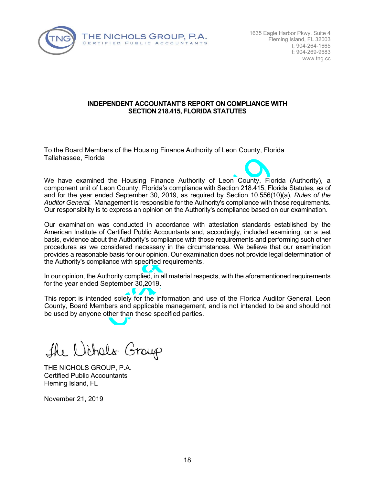

### **INDEPENDENT ACCOUNTANT'S REPORT ON COMPLIANCE WITH SECTION 218.415, FLORIDA STATUTES**

To the Board Members of the Housing Finance Authority of Leon County, Florida Tallahassee, Florida

We have examined the Housing Finance Authority of Leon County, Florida (Authority), a component unit of Leon County, Florida's compliance with Section 218.415, Florida Statutes, as of and for the year ended September 30, 2019, as required by Section 10.556(10)(a), *Rules of the Auditor General.* Management is responsible for the Authority's compliance with those requirements. Our responsibility is to express an opinion on the Authority's compliance based on our examination.

da<br>
da the Housing Finance Authority of Leon County, Flo<br>
Leon County, Florida's compliance with Section 218.415, Fle<br>
nded September 30, 2019, as required by Section 10.556(<br>
ianagement is responsible for the Authority's Our examination was conducted in accordance with attestation standards established by the American Institute of Certified Public Accountants and, accordingly, included examining, on a test basis, evidence about the Authority's compliance with those requirements and performing such other procedures as we considered necessary in the circumstances. We believe that our examination provides a reasonable basis for our opinion. Our examination does not provide legal determination of the Authority's compliance with specified requirements.

In our opinion, the Authority complied, in all material respects, with the aforementioned requirements for the year ended September 30,2019.

This report is intended solely for the information and use of the Florida Auditor General, Leon County, Board Members and applicable management, and is not intended to be and should not be used by anyone other than these specified parties.

the Wichals Group

THE NICHOLS GROUP, P.A. Certified Public Accountants Fleming Island, FL

November 21, 2019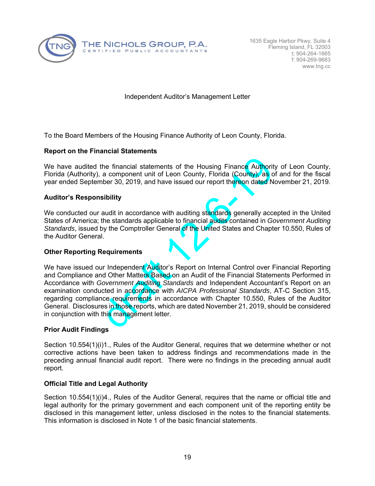

 1635 Eagle Harbor Pkwy, Suite 4 Fleming Island, FL 32003 t; 904-264-1665 f: 904-269-9683 www.tng.cc

### Independent Auditor's Management Letter

To the Board Members of the Housing Finance Authority of Leon County, Florida.

### **Report on the Financial Statements**

We have audited the financial statements of the Housing Finance Authority of Leon County, Florida (Authority), a component unit of Leon County, Florida (County), as of and for the fiscal year ended September 30, 2019, and have issued our report thereon dated November 21, 2019.

### **Auditor's Responsibility**

We conducted our audit in accordance with auditing standards generally accepted in the United States of America; the standards applicable to financial audits contained in *Government Auditing Standards*, issued by the Comptroller General of the United States and Chapter 10.550, Rules of the Auditor General.

### **Other Reporting Requirements**

the financial statements of the Housing Finance Authorities<br>
a component unit of Leon County, Florida (County), as comber 30, 2019, and have issued our report thereon dated N<br>
sibility<br>
audit in accordance with auditing st We have issued our Independent Auditor's Report on Internal Control over Financial Reporting and Compliance and Other Matters Based on an Audit of the Financial Statements Performed in Accordance with *Government Auditing Standards* and Independent Accountant's Report on an examination conducted in accordance with *AICPA Professional Standards*, AT-C Section 315, regarding compliance requirements in accordance with Chapter 10.550, Rules of the Auditor General. Disclosures in those reports, which are dated November 21, 2019, should be considered in conjunction with this management letter.

### **Prior Audit Findings**

Section 10.554(1)(i)1., Rules of the Auditor General, requires that we determine whether or not corrective actions have been taken to address findings and recommendations made in the preceding annual financial audit report. There were no findings in the preceding annual audit report.

### **Official Title and Legal Authority**

Section 10.554(1)(i)4., Rules of the Auditor General, requires that the name or official title and legal authority for the primary government and each component unit of the reporting entity be disclosed in this management letter, unless disclosed in the notes to the financial statements. This information is disclosed in Note 1 of the basic financial statements.